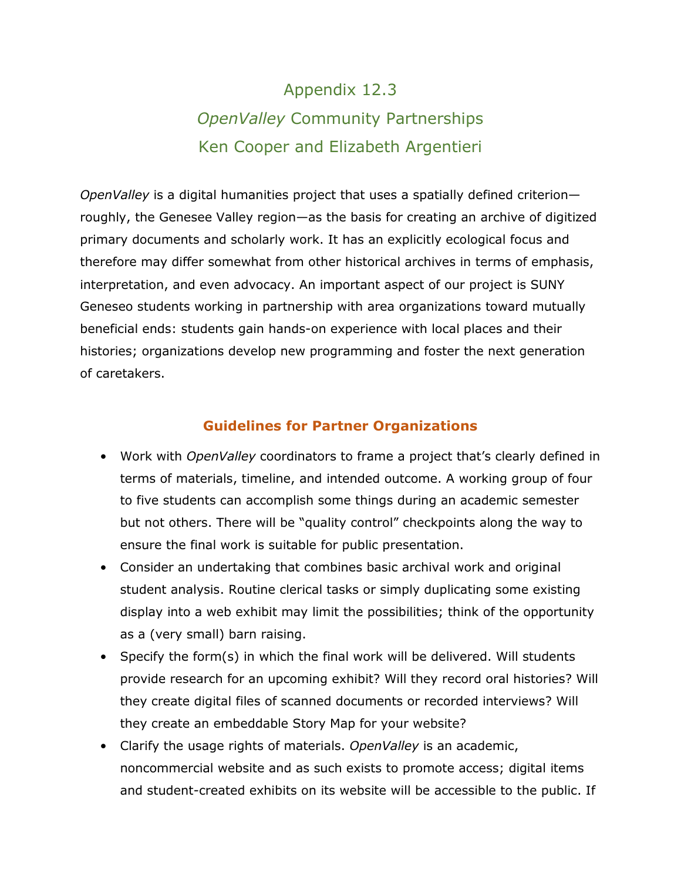# Appendix 12.3 *OpenValley* Community Partnerships Ken Cooper and Elizabeth Argentieri

*OpenValley* is a digital humanities project that uses a spatially defined criterion roughly, the Genesee Valley region—as the basis for creating an archive of digitized primary documents and scholarly work. It has an explicitly ecological focus and therefore may differ somewhat from other historical archives in terms of emphasis, interpretation, and even advocacy. An important aspect of our project is SUNY Geneseo students working in partnership with area organizations toward mutually beneficial ends: students gain hands-on experience with local places and their histories; organizations develop new programming and foster the next generation of caretakers.

#### **Guidelines for Partner Organizations**

- Work with *OpenValley* coordinators to frame a project that's clearly defined in terms of materials, timeline, and intended outcome. A working group of four to five students can accomplish some things during an academic semester but not others. There will be "quality control" checkpoints along the way to ensure the final work is suitable for public presentation.
- Consider an undertaking that combines basic archival work and original student analysis. Routine clerical tasks or simply duplicating some existing display into a web exhibit may limit the possibilities; think of the opportunity as a (very small) barn raising.
- Specify the form(s) in which the final work will be delivered. Will students provide research for an upcoming exhibit? Will they record oral histories? Will they create digital files of scanned documents or recorded interviews? Will they create an embeddable Story Map for your website?
- Clarify the usage rights of materials. *OpenValley* is an academic, noncommercial website and as such exists to promote access; digital items and student-created exhibits on its website will be accessible to the public. If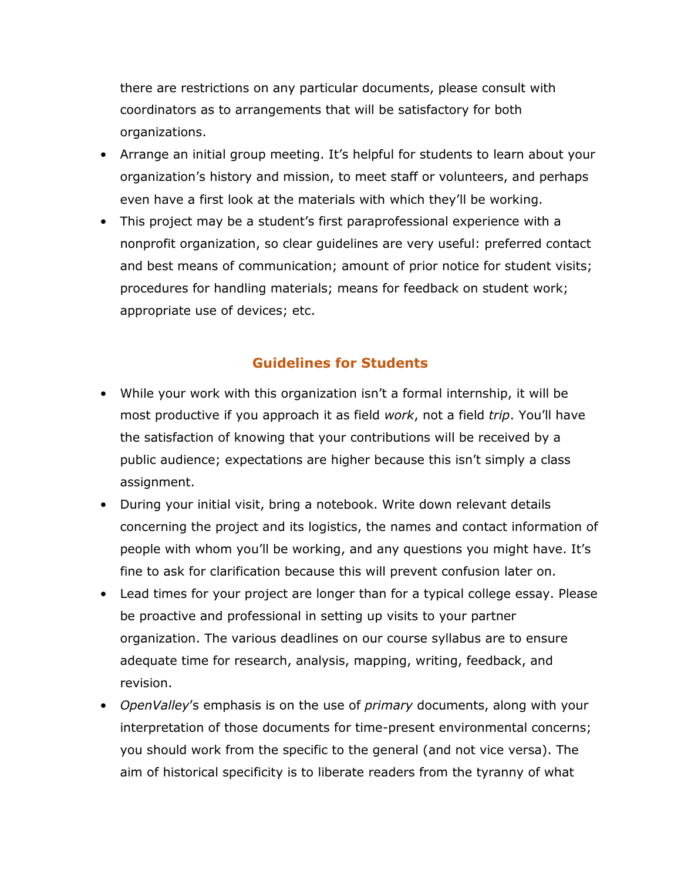there are restrictions on any particular documents, please consult with coordinators as to arrangements that will be satisfactory for both organizations.

- Arrange an initial group meeting. It's helpful for students to learn about your organization's history and mission, to meet staff or volunteers, and perhaps even have a first look at the materials with which they'll be working.
- This project may be a student's first paraprofessional experience with a nonprofit organization, so clear guidelines are very useful: preferred contact and best means of communication; amount of prior notice for student visits; procedures for handling materials; means for feedback on student work; appropriate use of devices; etc.

### **Guidelines for Students**

- While your work with this organization isn't a formal internship, it will be most productive if you approach it as field *work*, not a field *trip*. You'll have the satisfaction of knowing that your contributions will be received by a public audience; expectations are higher because this isn't simply a class assignment.
- During your initial visit, bring a notebook. Write down relevant details concerning the project and its logistics, the names and contact information of people with whom you'll be working, and any questions you might have. It's fine to ask for clarification because this will prevent confusion later on.
- Lead times for your project are longer than for a typical college essay. Please be proactive and professional in setting up visits to your partner organization. The various deadlines on our course syllabus are to ensure adequate time for research, analysis, mapping, writing, feedback, and revision.
- *OpenValley*'s emphasis is on the use of *primary* documents, along with your interpretation of those documents for time-present environmental concerns; you should work from the specific to the general (and not vice versa). The aim of historical specificity is to liberate readers from the tyranny of what